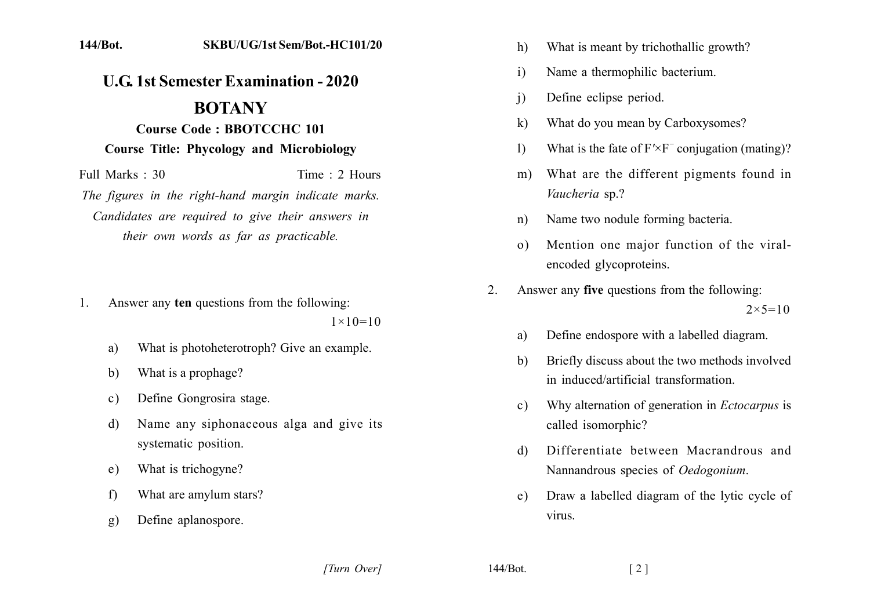## **U.G. 1st Semester Examination - 2020 BOTANY Course Code: BBOTCCHC 101**

**Course Title: Phycology and Microbiology** 

Full Marks: 30 Time: 2 Hours The figures in the right-hand margin indicate marks. Candidates are required to give their answers in their own words as far as practicable.

- Answer any ten questions from the following:  $\mathbf{1}$  $1 \times 10 = 10$ 
	- What is photoheterotroph? Give an example. a)
	- What is a prophage? b)
	- Define Gongrosira stage.  $c)$
	- Name any siphonaceous alga and give its d) systematic position.
	- What is trichogyne?  $e)$
	- What are amylum stars?  $f$
	- $g)$ Define aplanospore.
- What is meant by trichothallic growth?  $h)$
- Name a thermophilic bacterium.  $\mathbf{i}$
- Define eclipse period.  $\mathbf{i}$
- What do you mean by Carboxysomes?  $\mathbf{k}$
- What is the fate of  $F' \times F$ <sup>-</sup> conjugation (mating)?  $\left| \right\rangle$
- What are the different pigments found in  $m)$ Vaucheria sp.?
- Name two nodule forming bacteria.  $n)$
- Mention one major function of the viral- $\Omega$ encoded glycoproteins.
- Answer any five questions from the following:  $\overline{2}$  $2 \times 5 = 10$ 
	- Define endospore with a labelled diagram. a)
	- Briefly discuss about the two methods involved  $b)$ in induced/artificial transformation
	- Why alternation of generation in *Ectocarpus* is  $\mathbf{c}$ ) called isomorphic?
	- Differentiate between Macrandrous and d) Nannandrous species of *Oedogonium*.
	- Draw a labelled diagram of the lytic cycle of e) virus

[Turn Over]

144/Bot.